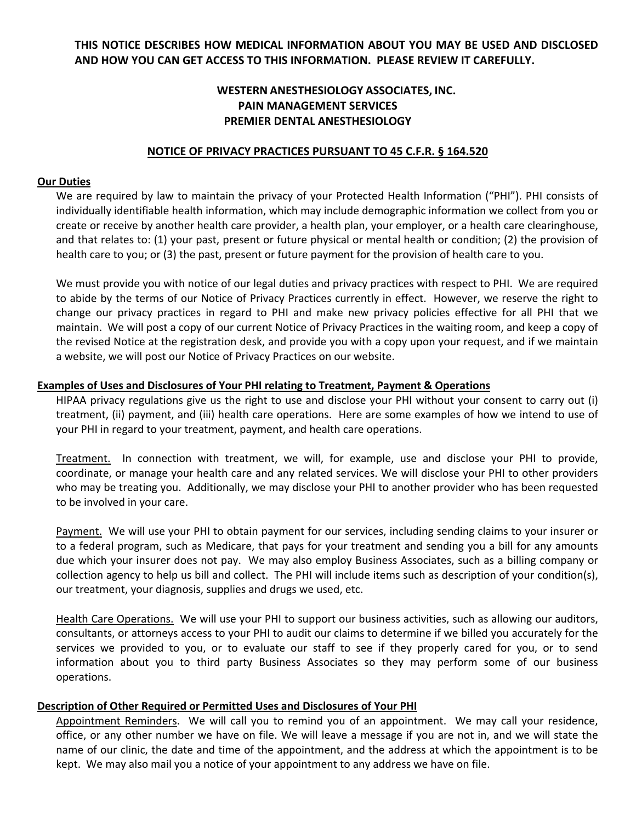# **THIS NOTICE DESCRIBES HOW MEDICAL INFORMATION ABOUT YOU MAY BE USED AND DISCLOSED AND HOW YOU CAN GET ACCESS TO THIS INFORMATION. PLEASE REVIEW IT CAREFULLY.**

# **WESTERN ANESTHESIOLOGY ASSOCIATES, INC. PAIN MANAGEMENT SERVICES PREMIER DENTAL ANESTHESIOLOGY**

### **NOTICE OF PRIVACY PRACTICES PURSUANT TO 45 C.F.R. § 164.520**

#### **Our Duties**

We are required by law to maintain the privacy of your Protected Health Information ("PHI"). PHI consists of individually identifiable health information, which may include demographic information we collect from you or create or receive by another health care provider, a health plan, your employer, or a health care clearinghouse, and that relates to: (1) your past, present or future physical or mental health or condition; (2) the provision of health care to you; or (3) the past, present or future payment for the provision of health care to you.

We must provide you with notice of our legal duties and privacy practices with respect to PHI. We are required to abide by the terms of our Notice of Privacy Practices currently in effect. However, we reserve the right to change our privacy practices in regard to PHI and make new privacy policies effective for all PHI that we maintain. We will post a copy of our current Notice of Privacy Practices in the waiting room, and keep a copy of the revised Notice at the registration desk, and provide you with a copy upon your request, and if we maintain a website, we will post our Notice of Privacy Practices on our website.

# **Examples of Uses and Disclosures of Your PHI relating to Treatment, Payment & Operations**

HIPAA privacy regulations give us the right to use and disclose your PHI without your consent to carry out (i) treatment, (ii) payment, and (iii) health care operations. Here are some examples of how we intend to use of your PHI in regard to your treatment, payment, and health care operations.

Treatment. In connection with treatment, we will, for example, use and disclose your PHI to provide, coordinate, or manage your health care and any related services. We will disclose your PHI to other providers who may be treating you. Additionally, we may disclose your PHI to another provider who has been requested to be involved in your care.

Payment. We will use your PHI to obtain payment for our services, including sending claims to your insurer or to a federal program, such as Medicare, that pays for your treatment and sending you a bill for any amounts due which your insurer does not pay. We may also employ Business Associates, such as a billing company or collection agency to help us bill and collect. The PHI will include items such as description of your condition(s), our treatment, your diagnosis, supplies and drugs we used, etc.

Health Care Operations. We will use your PHI to support our business activities, such as allowing our auditors, consultants, or attorneys access to your PHI to audit our claims to determine if we billed you accurately for the services we provided to you, or to evaluate our staff to see if they properly cared for you, or to send information about you to third party Business Associates so they may perform some of our business operations.

# **Description of Other Required or Permitted Uses and Disclosures of Your PHI**

Appointment Reminders. We will call you to remind you of an appointment. We may call your residence, office, or any other number we have on file. We will leave a message if you are not in, and we will state the name of our clinic, the date and time of the appointment, and the address at which the appointment is to be kept. We may also mail you a notice of your appointment to any address we have on file.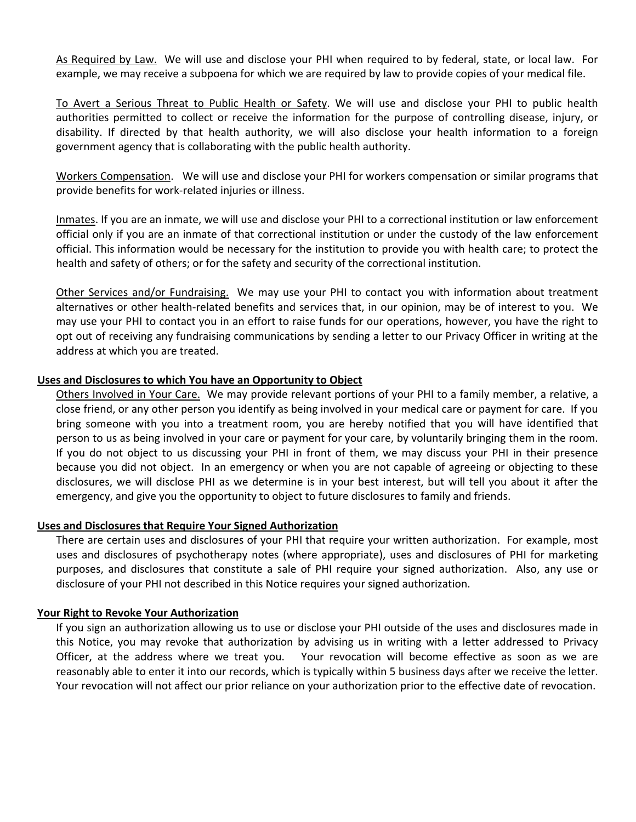As Required by Law. We will use and disclose your PHI when required to by federal, state, or local law. For example, we may receive a subpoena for which we are required by law to provide copies of your medical file.

To Avert a Serious Threat to Public Health or Safety. We will use and disclose your PHI to public health authorities permitted to collect or receive the information for the purpose of controlling disease, injury, or disability. If directed by that health authority, we will also disclose your health information to a foreign government agency that is collaborating with the public health authority.

Workers Compensation. We will use and disclose your PHI for workers compensation or similar programs that provide benefits for work‐related injuries or illness.

Inmates. If you are an inmate, we will use and disclose your PHI to a correctional institution or law enforcement official only if you are an inmate of that correctional institution or under the custody of the law enforcement official. This information would be necessary for the institution to provide you with health care; to protect the health and safety of others; or for the safety and security of the correctional institution.

Other Services and/or Fundraising. We may use your PHI to contact you with information about treatment alternatives or other health‐related benefits and services that, in our opinion, may be of interest to you. We may use your PHI to contact you in an effort to raise funds for our operations, however, you have the right to opt out of receiving any fundraising communications by sending a letter to our Privacy Officer in writing at the address at which you are treated.

# **Uses and Disclosures to which You have an Opportunity to Object**

Others Involved in Your Care. We may provide relevant portions of your PHI to a family member, a relative, a close friend, or any other person you identify as being involved in your medical care or payment for care. If you bring someone with you into a treatment room, you are hereby notified that you will have identified that person to us as being involved in your care or payment for your care, by voluntarily bringing them in the room. If you do not object to us discussing your PHI in front of them, we may discuss your PHI in their presence because you did not object. In an emergency or when you are not capable of agreeing or objecting to these disclosures, we will disclose PHI as we determine is in your best interest, but will tell you about it after the emergency, and give you the opportunity to object to future disclosures to family and friends.

#### **Uses and Disclosures that Require Your Signed Authorization**

There are certain uses and disclosures of your PHI that require your written authorization. For example, most uses and disclosures of psychotherapy notes (where appropriate), uses and disclosures of PHI for marketing purposes, and disclosures that constitute a sale of PHI require your signed authorization. Also, any use or disclosure of your PHI not described in this Notice requires your signed authorization.

#### **Your Right to Revoke Your Authorization**

If you sign an authorization allowing us to use or disclose your PHI outside of the uses and disclosures made in this Notice, you may revoke that authorization by advising us in writing with a letter addressed to Privacy Officer, at the address where we treat you. Your revocation will become effective as soon as we are reasonably able to enter it into our records, which is typically within 5 business days after we receive the letter. Your revocation will not affect our prior reliance on your authorization prior to the effective date of revocation.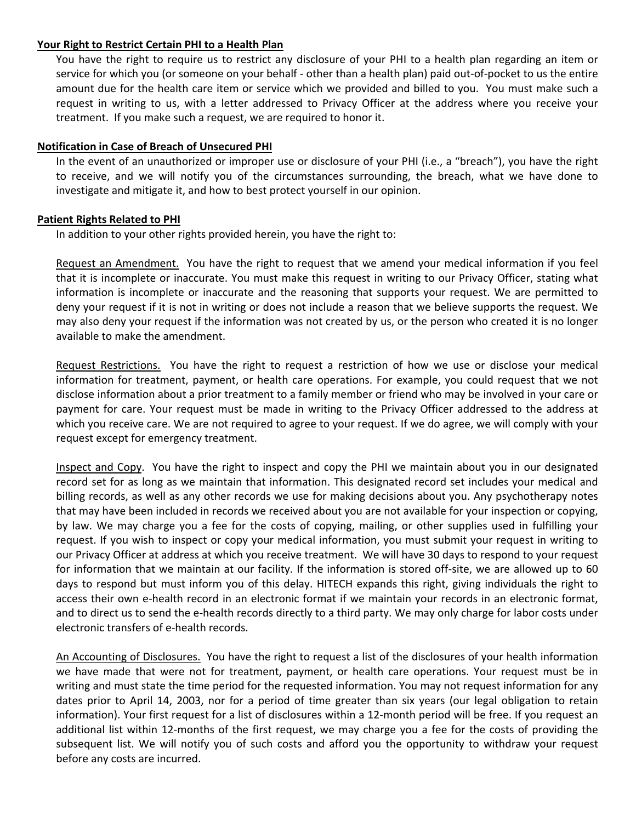### **Your Right to Restrict Certain PHI to a Health Plan**

You have the right to require us to restrict any disclosure of your PHI to a health plan regarding an item or service for which you (or someone on your behalf - other than a health plan) paid out-of-pocket to us the entire amount due for the health care item or service which we provided and billed to you. You must make such a request in writing to us, with a letter addressed to Privacy Officer at the address where you receive your treatment. If you make such a request, we are required to honor it.

# **Notification in Case of Breach of Unsecured PHI**

In the event of an unauthorized or improper use or disclosure of your PHI (i.e., a "breach"), you have the right to receive, and we will notify you of the circumstances surrounding, the breach, what we have done to investigate and mitigate it, and how to best protect yourself in our opinion.

# **Patient Rights Related to PHI**

In addition to your other rights provided herein, you have the right to:

Request an Amendment. You have the right to request that we amend your medical information if you feel that it is incomplete or inaccurate. You must make this request in writing to our Privacy Officer, stating what information is incomplete or inaccurate and the reasoning that supports your request. We are permitted to deny your request if it is not in writing or does not include a reason that we believe supports the request. We may also deny your request if the information was not created by us, or the person who created it is no longer available to make the amendment.

Request Restrictions. You have the right to request a restriction of how we use or disclose your medical information for treatment, payment, or health care operations. For example, you could request that we not disclose information about a prior treatment to a family member or friend who may be involved in your care or payment for care. Your request must be made in writing to the Privacy Officer addressed to the address at which you receive care. We are not required to agree to your request. If we do agree, we will comply with your request except for emergency treatment.

Inspect and Copy. You have the right to inspect and copy the PHI we maintain about you in our designated record set for as long as we maintain that information. This designated record set includes your medical and billing records, as well as any other records we use for making decisions about you. Any psychotherapy notes that may have been included in records we received about you are not available for your inspection or copying, by law. We may charge you a fee for the costs of copying, mailing, or other supplies used in fulfilling your request. If you wish to inspect or copy your medical information, you must submit your request in writing to our Privacy Officer at address at which you receive treatment. We will have 30 days to respond to your request for information that we maintain at our facility. If the information is stored off-site, we are allowed up to 60 days to respond but must inform you of this delay. HITECH expands this right, giving individuals the right to access their own e-health record in an electronic format if we maintain your records in an electronic format, and to direct us to send the e-health records directly to a third party. We may only charge for labor costs under electronic transfers of e‐health records.

An Accounting of Disclosures. You have the right to request a list of the disclosures of your health information we have made that were not for treatment, payment, or health care operations. Your request must be in writing and must state the time period for the requested information. You may not request information for any dates prior to April 14, 2003, nor for a period of time greater than six years (our legal obligation to retain information). Your first request for a list of disclosures within a 12‐month period will be free. If you request an additional list within 12‐months of the first request, we may charge you a fee for the costs of providing the subsequent list. We will notify you of such costs and afford you the opportunity to withdraw your request before any costs are incurred.